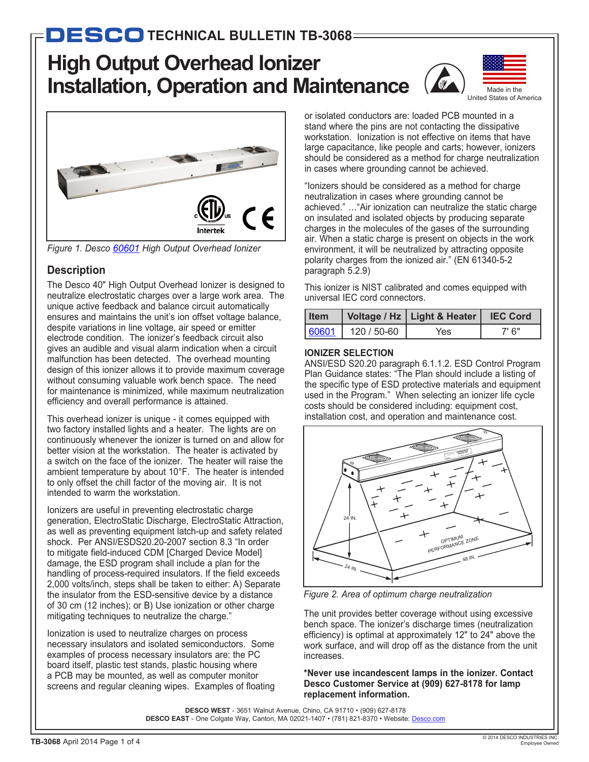# **High Output Overhead Ionizer Installation, Operation and Maintenance**





*Figure 1. Desco [60601](http://desco.descoindustries.com/DescoCatalog/Ionization/OverheadIonizers/60601/) High Output Overhead Ionizer*

# **Description**

The Desco 40" High Output Overhead Ionizer is designed to neutralize electrostatic charges over a large work area. The unique active feedback and balance circuit automatically ensures and maintains the unit's ion offset voltage balance, despite variations in line voltage, air speed or emitter electrode condition. The ionizer's feedback circuit also gives an audible and visual alarm indication when a circuit malfunction has been detected. The overhead mounting design of this ionizer allows it to provide maximum coverage without consuming valuable work bench space. The need for maintenance is minimized, while maximum neutralization efficiency and overall performance is attained.

This overhead ionizer is unique - it comes equipped with two factory installed lights and a heater. The lights are on continuously whenever the ionizer is turned on and allow for better vision at the workstation. The heater is activated by a switch on the face of the ionizer. The heater will raise the ambient temperature by about 10°F. The heater is intended to only offset the chill factor of the moving air. It is not intended to warm the workstation.

Ionizers are useful in preventing electrostatic charge generation, ElectroStatic Discharge, ElectroStatic Attraction, as well as preventing equipment latch-up and safety related shock. Per ANSI/ESDS20.20-2007 section 8.3 "In order to mitigate field-induced CDM [Charged Device Model] damage, the ESD program shall include a plan for the handling of process-required insulators. If the field exceeds 2,000 volts/inch, steps shall be taken to either: A) Separate the insulator from the ESD-sensitive device by a distance of 30 cm (12 inches); or B) Use ionization or other charge mitigating techniques to neutralize the charge."

Ionization is used to neutralize charges on process necessary insulators and isolated semiconductors. Some examples of process necessary insulators are: the PC board itself, plastic test stands, plastic housing where a PCB may be mounted, as well as computer monitor screens and regular cleaning wipes. Examples of floating or isolated conductors are: loaded PCB mounted in a stand where the pins are not contacting the dissipative workstation. Ionization is not effective on items that have large capacitance, like people and carts; however, ionizers should be considered as a method for charge neutralization in cases where grounding cannot be achieved.

"Ionizers should be considered as a method for charge neutralization in cases where grounding cannot be achieved." …"Air ionization can neutralize the static charge on insulated and isolated objects by producing separate charges in the molecules of the gases of the surrounding air. When a static charge is present on objects in the work environment, it will be neutralized by attracting opposite polarity charges from the ionized air." (EN 61340-5-2 paragraph 5.2.9)

This ionizer is NIST calibrated and comes equipped with universal IEC cord connectors.

| l Item |             | Voltage / Hz   Light & Heater | <b>IEC Cord</b> |
|--------|-------------|-------------------------------|-----------------|
| 60601  | 120 / 50-60 | Yes                           | 7' 6"           |

#### **IONIZER SELECTION**

ANSI/ESD S20.20 paragraph 6.1.1.2. ESD Control Program Plan Guidance states: "The Plan should include a listing of the specific type of ESD protective materials and equipment used in the Program." When selecting an ionizer life cycle costs should be considered including: equipment cost, installation cost, and operation and maintenance cost.



*Figure 2. Area of optimum charge neutralization*

The unit provides better coverage without using excessive bench space. The ionizer's discharge times (neutralization efficiency) is optimal at approximately 12" to 24" above the work surface, and will drop off as the distance from the unit increases.

**\*Never use incandescent lamps in the ionizer. Contact Desco Customer Service at (909) 627-8178 for lamp replacement information.**

**DESCO WEST** - 3651 Walnut Avenue, Chino, CA 91710 • (909) 627-8178 DESCO EAST - One Colgate Way, Canton, MA 02021-1407 • (781) 821-8370 • Website: [Desco.com](http://desco.descoindustries.com/)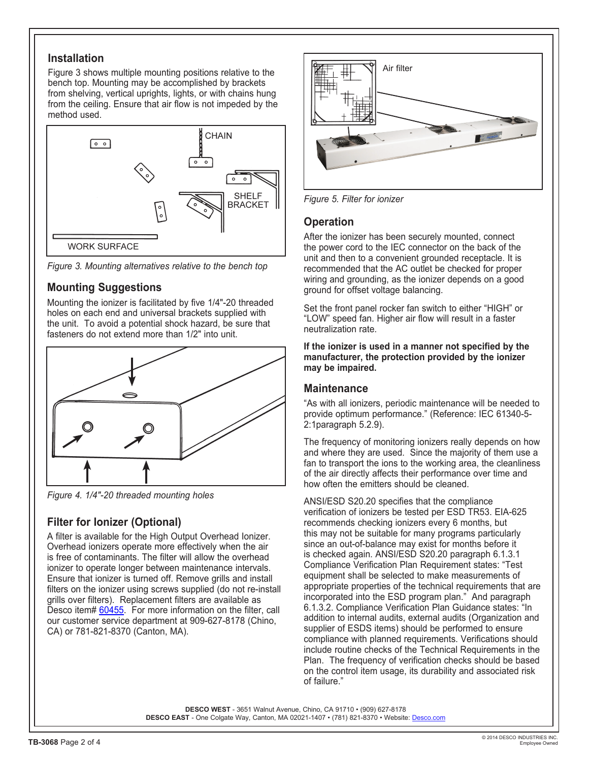#### **Installation**

Figure 3 shows multiple mounting positions relative to the bench top. Mounting may be accomplished by brackets from shelving, vertical uprights, lights, or with chains hung from the ceiling. Ensure that air flow is not impeded by the method used.



*Figure 3. Mounting alternatives relative to the bench top*

## **Mounting Suggestions**

Mounting the ionizer is facilitated by five 1/4"-20 threaded holes on each end and universal brackets supplied with the unit. To avoid a potential shock hazard, be sure that fasteners do not extend more than 1/2" into unit.



*Figure 4. 1/4"-20 threaded mounting holes*

# **Filter for Ionizer (Optional)**

A filter is available for the High Output Overhead Ionizer. Overhead ionizers operate more effectively when the air is free of contaminants. The filter will allow the overhead ionizer to operate longer between maintenance intervals. Ensure that ionizer is turned off. Remove grills and install filters on the ionizer using screws supplied (do not re-install grills over filters). Replacement filters are available as Desco item# [60455.](http://desco.descoindustries.com/DescoCatalog/Ionization/BenchTopIonizers/ChargebusterJr/60455/) For more information on the filter, call our customer service department at 909-627-8178 (Chino, CA) or 781-821-8370 (Canton, MA).



*Figure 5. Filter for ionizer*

#### **Operation**

After the ionizer has been securely mounted, connect the power cord to the IEC connector on the back of the unit and then to a convenient grounded receptacle. It is recommended that the AC outlet be checked for proper wiring and grounding, as the ionizer depends on a good ground for offset voltage balancing.

Set the front panel rocker fan switch to either "HIGH" or "LOW" speed fan. Higher air flow will result in a faster neutralization rate.

**If the ionizer is used in a manner not specified by the manufacturer, the protection provided by the ionizer may be impaired.**

#### **Maintenance**

"As with all ionizers, periodic maintenance will be needed to provide optimum performance." (Reference: IEC 61340-5- 2:1paragraph 5.2.9).

The frequency of monitoring ionizers really depends on how and where they are used. Since the majority of them use a fan to transport the ions to the working area, the cleanliness of the air directly affects their performance over time and how often the emitters should be cleaned.

ANSI/ESD S20.20 specifies that the compliance verification of ionizers be tested per ESD TR53. EIA-625 recommends checking ionizers every 6 months, but this may not be suitable for many programs particularly since an out-of-balance may exist for months before it is checked again. ANSI/ESD S20.20 paragraph 6.1.3.1 Compliance Verification Plan Requirement states: "Test equipment shall be selected to make measurements of appropriate properties of the technical requirements that are incorporated into the ESD program plan." And paragraph 6.1.3.2. Compliance Verification Plan Guidance states: "In addition to internal audits, external audits (Organization and supplier of ESDS items) should be performed to ensure compliance with planned requirements. Verifications should include routine checks of the Technical Requirements in the Plan. The frequency of verification checks should be based on the control item usage, its durability and associated risk of failure."

**DESCO WEST** - 3651 Walnut Avenue, Chino, CA 91710 • (909) 627-8178 DESCO EAST - One Colgate Way, Canton, MA 02021-1407 • (781) 821-8370 • Website: [Desco.com](http://desco.descoindustries.com/)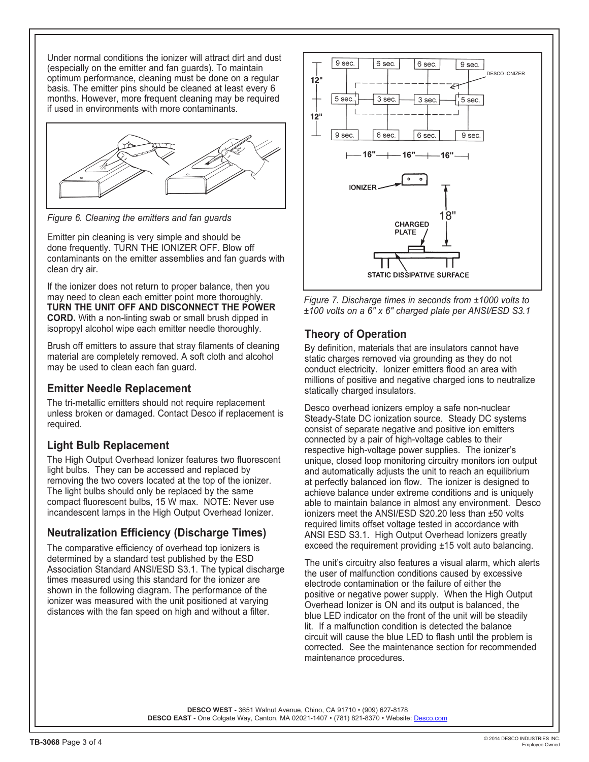Under normal conditions the ionizer will attract dirt and dust (especially on the emitter and fan guards). To maintain optimum performance, cleaning must be done on a regular basis. The emitter pins should be cleaned at least every 6 months. However, more frequent cleaning may be required if used in environments with more contaminants.



*Figure 6. Cleaning the emitters and fan guards*

Emitter pin cleaning is very simple and should be done frequently. TURN THE IONIZER OFF. Blow off contaminants on the emitter assemblies and fan guards with clean dry air.

If the ionizer does not return to proper balance, then you may need to clean each emitter point more thoroughly. **TURN THE UNIT OFF AND DISCONNECT THE POWER CORD.** With a non-linting swab or small brush dipped in isopropyl alcohol wipe each emitter needle thoroughly.

Brush off emitters to assure that stray filaments of cleaning material are completely removed. A soft cloth and alcohol may be used to clean each fan guard.

### **Emitter Needle Replacement**

The tri-metallic emitters should not require replacement unless broken or damaged. Contact Desco if replacement is required.

# **Light Bulb Replacement**

The High Output Overhead Ionizer features two fluorescent light bulbs. They can be accessed and replaced by removing the two covers located at the top of the ionizer. The light bulbs should only be replaced by the same compact fluorescent bulbs, 15 W max. NOTE: Never use incandescent lamps in the High Output Overhead Ionizer.

### **Neutralization Efficiency (Discharge Times)**

The comparative efficiency of overhead top ionizers is determined by a standard test published by the ESD Association Standard ANSI/ESD S3.1. The typical discharge times measured using this standard for the ionizer are shown in the following diagram. The performance of the ionizer was measured with the unit positioned at varying distances with the fan speed on high and without a filter.





## **Theory of Operation**

By definition, materials that are insulators cannot have static charges removed via grounding as they do not conduct electricity. Ionizer emitters flood an area with millions of positive and negative charged ions to neutralize statically charged insulators.

Desco overhead ionizers employ a safe non-nuclear Steady-State DC ionization source. Steady DC systems consist of separate negative and positive ion emitters connected by a pair of high-voltage cables to their respective high-voltage power supplies. The ionizer's unique, closed loop monitoring circuitry monitors ion output and automatically adjusts the unit to reach an equilibrium at perfectly balanced ion flow. The ionizer is designed to achieve balance under extreme conditions and is uniquely able to maintain balance in almost any environment. Desco ionizers meet the ANSI/ESD S20.20 less than ±50 volts required limits offset voltage tested in accordance with ANSI ESD S3.1. High Output Overhead Ionizers greatly exceed the requirement providing ±15 volt auto balancing.

The unit's circuitry also features a visual alarm, which alerts the user of malfunction conditions caused by excessive electrode contamination or the failure of either the positive or negative power supply. When the High Output Overhead Ionizer is ON and its output is balanced, the blue LED indicator on the front of the unit will be steadily lit. If a malfunction condition is detected the balance circuit will cause the blue LED to flash until the problem is corrected. See the maintenance section for recommended maintenance procedures.

**DESCO WEST** - 3651 Walnut Avenue, Chino, CA 91710 • (909) 627-8178 DESCO EAST - One Colgate Way, Canton, MA 02021-1407 • (781) 821-8370 • Website: [Desco.com](http://desco.descoindustries.com/)